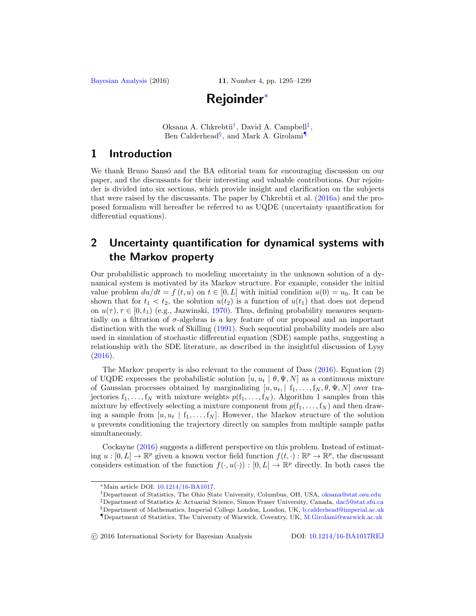# **Rejoinder**[∗](#page-0-0)

Oksana A. Chkrebtii<sup>[†](#page-0-1)</sup>, David A. Campbell<sup>[‡](#page-0-2)</sup>, Ben Calderhead<sup>[§](#page-0-3)</sup>, and Mark A. Girolami

# <span id="page-0-5"></span>**1 Introduction**

We thank Bruno Sansó and the BA editorial team for encouraging discussion on our paper, and the discussants for their interesting and valuable contributions. Our rejoinder is divided into six sections, which provide insight and clarification on the subjects that were raised by the discussants. The paper by Chkrebtii et al. [\(2016a\)](#page-4-0) and the proposed formalism will hereafter be referred to as UQDE (uncertainty quantification for differential equations).

# **2 Uncertainty quantification for dynamical systems with the Markov property**

Our probabilistic approach to modeling uncertainty in the unknown solution of a dynamical system is motivated by its Markov structure. For example, consider the initial value problem  $du/dt = f(t, u)$  on  $t \in [0, L]$  with initial condition  $u(0) = u_0$ . It can be shown that for  $t_1 < t_2$ , the solution  $u(t_2)$  is a function of  $u(t_1)$  that does not depend on  $u(\tau)$ ,  $\tau \in [0, t_1)$  (e.g., Jazwinski, [1970](#page-4-1)). Thus, defining probability measures sequentially on a filtration of  $\sigma$ -algebras is a key feature of our proposal and an important distinction with the work of Skilling [\(1991\)](#page-4-2). Such sequential probability models are also used in simulation of stochastic differential equation (SDE) sample paths, suggesting a relationship with the SDE literature, as described in the insightful discussion of Lysy  $(2016).$  $(2016).$ 

The Markov property is also relevant to the comment of Dass [\(2016\)](#page-4-4). Equation (2) of UQDE expresses the probabilistic solution  $[u, u_t | \theta, \Psi, N]$  as a continuous mixture of Gaussian processes obtained by marginalizing  $[u, u_t, \mid f_1, \ldots, f_N, \theta, \Psi, N]$  over trajectories  $f_1, \ldots, f_N$  with mixture weights  $p(f_1, \ldots, f_N)$ . Algorithm 1 samples from this mixture by effectively selecting a mixture component from  $p(f_1,\ldots,f_N)$  and then drawing a sample from  $[u, u_t | f_1, \ldots, f_N]$ . However, the Markov structure of the solution u prevents conditioning the trajectory directly on samples from multiple sample paths simultaneously.

Cockayne [\(2016](#page-4-5)) suggests a different perspective on this problem. Instead of estimating  $u : [0, L] \to \mathbb{R}^p$  given a known vector field function  $f(t, \cdot) : \mathbb{R}^p \to \mathbb{R}^p$ , the discussant considers estimation of the function  $f(\cdot, u(\cdot)) : [0, L] \to \mathbb{R}^p$  directly. In both cases the

-c 2016 International Society for Bayesian Analysis DOI: [10.1214/16-BA1017REJ](http://dx.doi.org/10.1214/16-BA1017REJ)

<span id="page-0-0"></span><sup>∗</sup>Main article DOI: [10.1214/16-BA1017.](http://dx.doi.org/10.1214/16-BA1017)

<span id="page-0-1"></span><sup>†</sup>Department of Statistics, The Ohio State University, Columbus, OH, USA, [oksana@stat.osu.edu](mailto:oksana@stat.osu.edu)

<span id="page-0-2"></span><sup>‡</sup>Department of Statistics & Actuarial Science, Simon Fraser University, Canada, [dac5@stat.sfu.ca](mailto:dac5@stat.sfu.ca)

<span id="page-0-3"></span><sup>§</sup>Department of Mathematics, Imperial College London, London, UK, [b.calderhead@imperial.ac.uk](mailto:b.calderhead@imperial.ac.uk)

<span id="page-0-4"></span><sup>¶</sup>Department of Statistics, The University of Warwick, Coventry, UK, [M.Girolami@warwick.ac.uk](mailto:M.Girolami@warwick.ac.uk)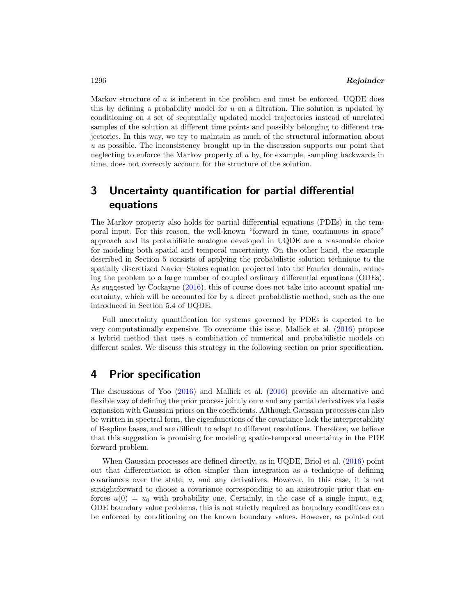Markov structure of  $u$  is inherent in the problem and must be enforced. UQDE does this by defining a probability model for  $u$  on a filtration. The solution is updated by conditioning on a set of sequentially updated model trajectories instead of unrelated samples of the solution at different time points and possibly belonging to different trajectories. In this way, we try to maintain as much of the structural information about u as possible. The inconsistency brought up in the discussion supports our point that neglecting to enforce the Markov property of u by, for example, sampling backwards in time, does not correctly account for the structure of the solution.

# **3 Uncertainty quantification for partial differential equations**

The Markov property also holds for partial differential equations (PDEs) in the temporal input. For this reason, the well-known "forward in time, continuous in space" approach and its probabilistic analogue developed in UQDE are a reasonable choice for modeling both spatial and temporal uncertainty. On the other hand, the example described in Section 5 consists of applying the probabilistic solution technique to the spatially discretized Navier–Stokes equation projected into the Fourier domain, reducing the problem to a large number of coupled ordinary differential equations (ODEs). As suggested by Cockayne [\(2016](#page-4-5)), this of course does not take into account spatial uncertainty, which will be accounted for by a direct probabilistic method, such as the one introduced in Section 5.4 of UQDE.

Full uncertainty quantification for systems governed by PDEs is expected to be very computationally expensive. To overcome this issue, Mallick et al. [\(2016](#page-4-6)) propose a hybrid method that uses a combination of numerical and probabilistic models on different scales. We discuss this strategy in the following section on prior specification.

#### **4 Prior specification**

The discussions of Yoo [\(2016\)](#page-4-5) and Mallick et al. [\(2016\)](#page-4-6) provide an alternative and flexible way of defining the prior process jointly on  $u$  and any partial derivatives via basis expansion with Gaussian priors on the coefficients. Although Gaussian processes can also be written in spectral form, the eigenfunctions of the covariance lack the interpretability of B-spline bases, and are difficult to adapt to different resolutions. Therefore, we believe that this suggestion is promising for modeling spatio-temporal uncertainty in the PDE forward problem.

When Gaussian processes are defined directly, as in UQDE, Briol et al. [\(2016\)](#page-4-5) point out that differentiation is often simpler than integration as a technique of defining covariances over the state, u, and any derivatives. However, in this case, it is not straightforward to choose a covariance corresponding to an anisotropic prior that enforces  $u(0) = u_0$  with probability one. Certainly, in the case of a single input, e.g. ODE boundary value problems, this is not strictly required as boundary conditions can be enforced by conditioning on the known boundary values. However, as pointed out

<span id="page-1-0"></span>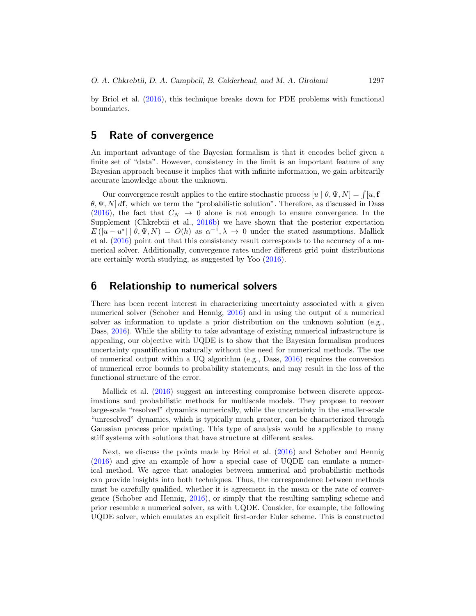<span id="page-2-0"></span>by Briol et al. [\(2016\)](#page-4-5), this technique breaks down for PDE problems with functional boundaries.

### **5 Rate of convergence**

An important advantage of the Bayesian formalism is that it encodes belief given a finite set of "data". However, consistency in the limit is an important feature of any Bayesian approach because it implies that with infinite information, we gain arbitrarily accurate knowledge about the unknown.

Our convergence result applies to the entire stochastic process  $[u | \theta, \Psi, N] = \int [u, \mathbf{f}]$  $\theta$ ,  $\Psi$ , N d**f**, which we term the "probabilistic solution". Therefore, as discussed in Dass [\(2016\)](#page-4-4), the fact that  $C_N \rightarrow 0$  alone is not enough to ensure convergence. In the Supplement (Chkrebtii et al., [2016b\)](#page-4-7) we have shown that the posterior expectation  $E(|u-u^*| | \theta, \Psi, N) = O(h)$  as  $\alpha^{-1}, \lambda \to 0$  under the stated assumptions. Mallick et al. [\(2016\)](#page-4-6) point out that this consistency result corresponds to the accuracy of a numerical solver. Additionally, convergence rates under different grid point distributions are certainly worth studying, as suggested by Yoo [\(2016\)](#page-4-5).

#### **6 Relationship to numerical solvers**

There has been recent interest in characterizing uncertainty associated with a given numerical solver (Schober and Hennig, [2016](#page-4-5)) and in using the output of a numerical solver as information to update a prior distribution on the unknown solution (e.g., Dass, [2016](#page-4-4)). While the ability to take advantage of existing numerical infrastructure is appealing, our objective with UQDE is to show that the Bayesian formalism produces uncertainty quantification naturally without the need for numerical methods. The use of numerical output within a UQ algorithm (e.g., Dass,  $2016$ ) requires the conversion of numerical error bounds to probability statements, and may result in the loss of the functional structure of the error.

Mallick et al. [\(2016](#page-4-6)) suggest an interesting compromise between discrete approximations and probabilistic methods for multiscale models. They propose to recover large-scale "resolved" dynamics numerically, while the uncertainty in the smaller-scale "unresolved" dynamics, which is typically much greater, can be characterized through Gaussian process prior updating. This type of analysis would be applicable to many stiff systems with solutions that have structure at different scales.

Next, we discuss the points made by Briol et al. [\(2016\)](#page-4-5) and Schober and Hennig [\(2016\)](#page-4-5) and give an example of how a special case of UQDE can emulate a numerical method. We agree that analogies between numerical and probabilistic methods can provide insights into both techniques. Thus, the correspondence between methods must be carefully qualified, whether it is agreement in the mean or the rate of convergence (Schober and Hennig, [2016\)](#page-4-5), or simply that the resulting sampling scheme and prior resemble a numerical solver, as with UQDE. Consider, for example, the following UQDE solver, which emulates an explicit first-order Euler scheme. This is constructed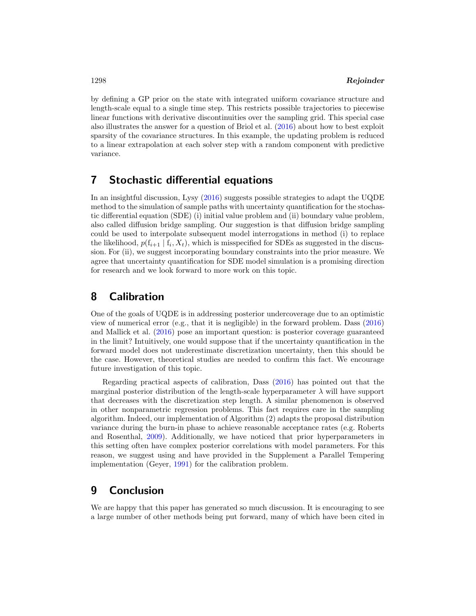<span id="page-3-0"></span>by defining a GP prior on the state with integrated uniform covariance structure and length-scale equal to a single time step. This restricts possible trajectories to piecewise linear functions with derivative discontinuities over the sampling grid. This special case also illustrates the answer for a question of Briol et al. [\(2016\)](#page-4-5) about how to best exploit sparsity of the covariance structures. In this example, the updating problem is reduced to a linear extrapolation at each solver step with a random component with predictive variance.

# **7 Stochastic differential equations**

In an insightful discussion, Lysy [\(2016](#page-4-3)) suggests possible strategies to adapt the UQDE method to the simulation of sample paths with uncertainty quantification for the stochastic differential equation (SDE) (i) initial value problem and (ii) boundary value problem, also called diffusion bridge sampling. Our suggestion is that diffusion bridge sampling could be used to interpolate subsequent model interrogations in method (i) to replace the likelihood,  $p(f_{i+1} | f_i, X_t)$ , which is misspecified for SDEs as suggested in the discussion. For (ii), we suggest incorporating boundary constraints into the prior measure. We agree that uncertainty quantification for SDE model simulation is a promising direction for research and we look forward to more work on this topic.

# **8 Calibration**

One of the goals of UQDE is in addressing posterior undercoverage due to an optimistic view of numerical error (e.g., that it is negligible) in the forward problem. Dass [\(2016\)](#page-4-4) and Mallick et al. [\(2016\)](#page-4-6) pose an important question: is posterior coverage guaranteed in the limit? Intuitively, one would suppose that if the uncertainty quantification in the forward model does not underestimate discretization uncertainty, then this should be the case. However, theoretical studies are needed to confirm this fact. We encourage future investigation of this topic.

Regarding practical aspects of calibration, Dass [\(2016](#page-4-4)) has pointed out that the marginal posterior distribution of the length-scale hyperparameter  $\lambda$  will have support that decreases with the discretization step length. A similar phenomenon is observed in other nonparametric regression problems. This fact requires care in the sampling algorithm. Indeed, our implementation of Algorithm (2) adapts the proposal distribution variance during the burn-in phase to achieve reasonable acceptance rates (e.g. Roberts and Rosenthal, [2009\)](#page-4-8). Additionally, we have noticed that prior hyperparameters in this setting often have complex posterior correlations with model parameters. For this reason, we suggest using and have provided in the Supplement a Parallel Tempering implementation (Geyer, [1991](#page-4-9)) for the calibration problem.

# **9 Conclusion**

We are happy that this paper has generated so much discussion. It is encouraging to see a large number of other methods being put forward, many of which have been cited in